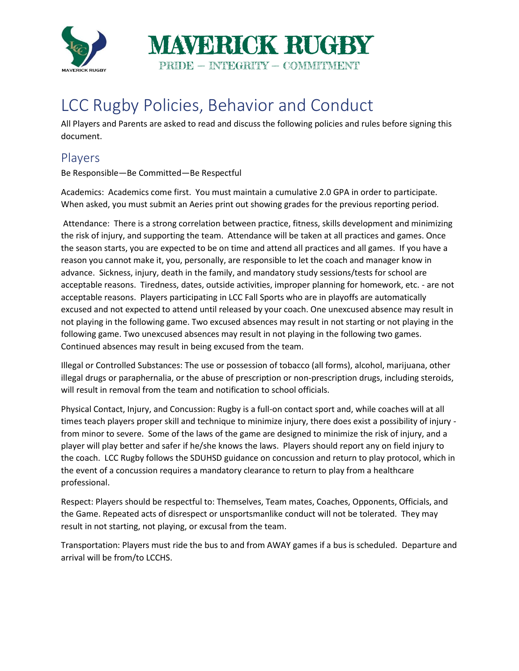

## LCC Rugby Policies, Behavior and Conduct

All Players and Parents are asked to read and discuss the following policies and rules before signing this document.

## Players

Be Responsible—Be Committed—Be Respectful

Academics: Academics come first. You must maintain a cumulative 2.0 GPA in order to participate. When asked, you must submit an Aeries print out showing grades for the previous reporting period.

Attendance: There is a strong correlation between practice, fitness, skills development and minimizing the risk of injury, and supporting the team. Attendance will be taken at all practices and games. Once the season starts, you are expected to be on time and attend all practices and all games. If you have a reason you cannot make it, you, personally, are responsible to let the coach and manager know in advance. Sickness, injury, death in the family, and mandatory study sessions/tests for school are acceptable reasons. Tiredness, dates, outside activities, improper planning for homework, etc. - are not acceptable reasons. Players participating in LCC Fall Sports who are in playoffs are automatically excused and not expected to attend until released by your coach. One unexcused absence may result in not playing in the following game. Two excused absences may result in not starting or not playing in the following game. Two unexcused absences may result in not playing in the following two games. Continued absences may result in being excused from the team.

Illegal or Controlled Substances: The use or possession of tobacco (all forms), alcohol, marijuana, other illegal drugs or paraphernalia, or the abuse of prescription or non-prescription drugs, including steroids, will result in removal from the team and notification to school officials.

Physical Contact, Injury, and Concussion: Rugby is a full-on contact sport and, while coaches will at all times teach players proper skill and technique to minimize injury, there does exist a possibility of injury from minor to severe. Some of the laws of the game are designed to minimize the risk of injury, and a player will play better and safer if he/she knows the laws. Players should report any on field injury to the coach. LCC Rugby follows the SDUHSD guidance on concussion and return to play protocol, which in the event of a concussion requires a mandatory clearance to return to play from a healthcare professional.

Respect: Players should be respectful to: Themselves, Team mates, Coaches, Opponents, Officials, and the Game. Repeated acts of disrespect or unsportsmanlike conduct will not be tolerated. They may result in not starting, not playing, or excusal from the team.

Transportation: Players must ride the bus to and from AWAY games if a bus is scheduled. Departure and arrival will be from/to LCCHS.